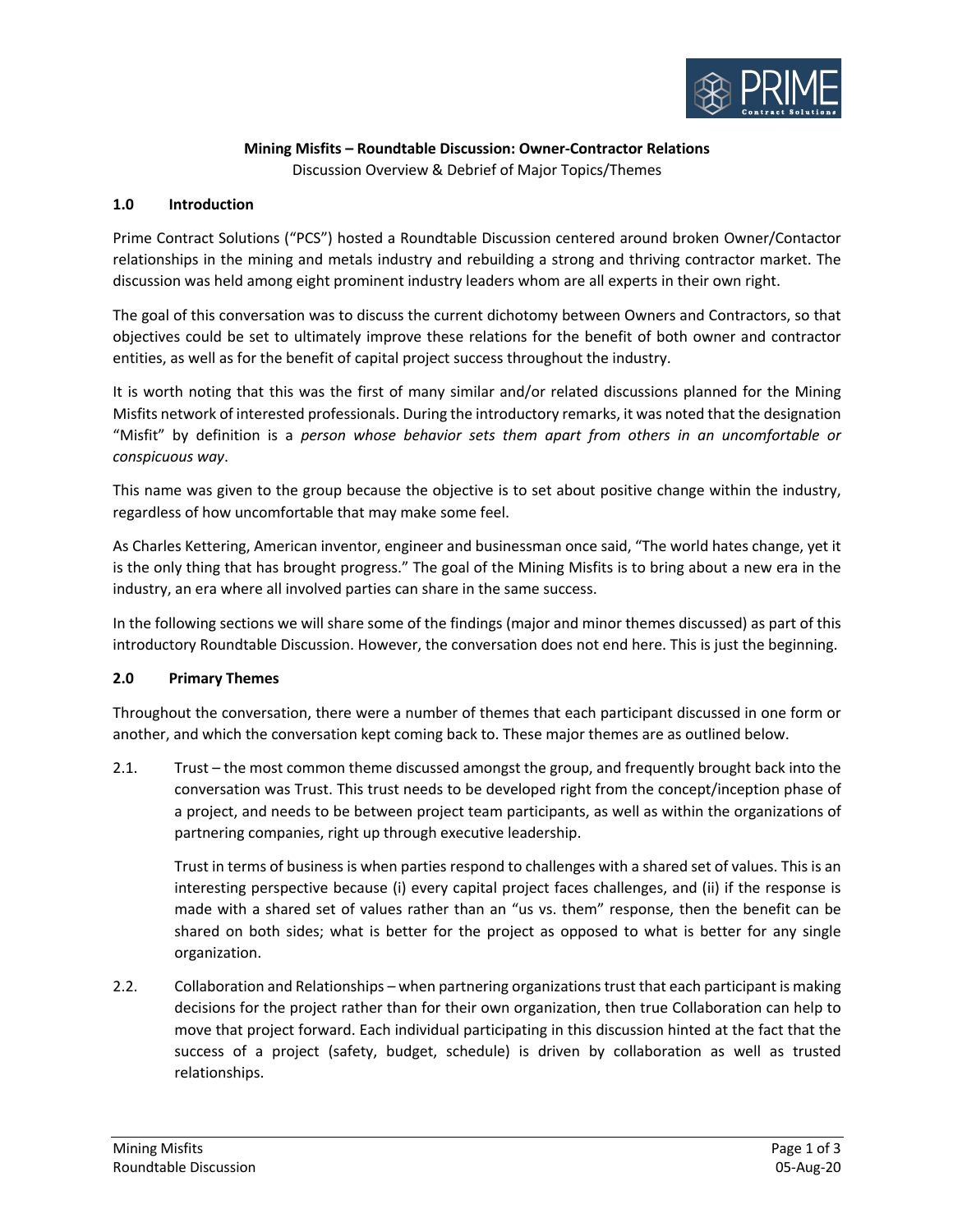

# **Mining Misfits – Roundtable Discussion: Owner-Contractor Relations**

Discussion Overview & Debrief of Major Topics/Themes

#### **1.0 Introduction**

Prime Contract Solutions ("PCS") hosted a Roundtable Discussion centered around broken Owner/Contactor relationships in the mining and metals industry and rebuilding a strong and thriving contractor market. The discussion was held among eight prominent industry leaders whom are all experts in their own right.

The goal of this conversation was to discuss the current dichotomy between Owners and Contractors, so that objectives could be set to ultimately improve these relations for the benefit of both owner and contractor entities, as well as for the benefit of capital project success throughout the industry.

It is worth noting that this was the first of many similar and/or related discussions planned for the Mining Misfits network of interested professionals. During the introductory remarks, it was noted that the designation "Misfit" by definition is a *person whose behavior sets them apart from others in an uncomfortable or conspicuous way*.

This name was given to the group because the objective is to set about positive change within the industry, regardless of how uncomfortable that may make some feel.

As Charles Kettering, American inventor, engineer and businessman once said, "The world hates change, yet it is the only thing that has brought progress." The goal of the Mining Misfits is to bring about a new era in the industry, an era where all involved parties can share in the same success.

In the following sections we will share some of the findings (major and minor themes discussed) as part of this introductory Roundtable Discussion. However, the conversation does not end here. This is just the beginning.

# **2.0 Primary Themes**

Throughout the conversation, there were a number of themes that each participant discussed in one form or another, and which the conversation kept coming back to. These major themes are as outlined below.

2.1. Trust – the most common theme discussed amongst the group, and frequently brought back into the conversation was Trust. This trust needs to be developed right from the concept/inception phase of a project, and needs to be between project team participants, as well as within the organizations of partnering companies, right up through executive leadership.

Trust in terms of business is when parties respond to challenges with a shared set of values. This is an interesting perspective because (i) every capital project faces challenges, and (ii) if the response is made with a shared set of values rather than an "us vs. them" response, then the benefit can be shared on both sides; what is better for the project as opposed to what is better for any single organization.

2.2. Collaboration and Relationships – when partnering organizations trust that each participant is making decisions for the project rather than for their own organization, then true Collaboration can help to move that project forward. Each individual participating in this discussion hinted at the fact that the success of a project (safety, budget, schedule) is driven by collaboration as well as trusted relationships.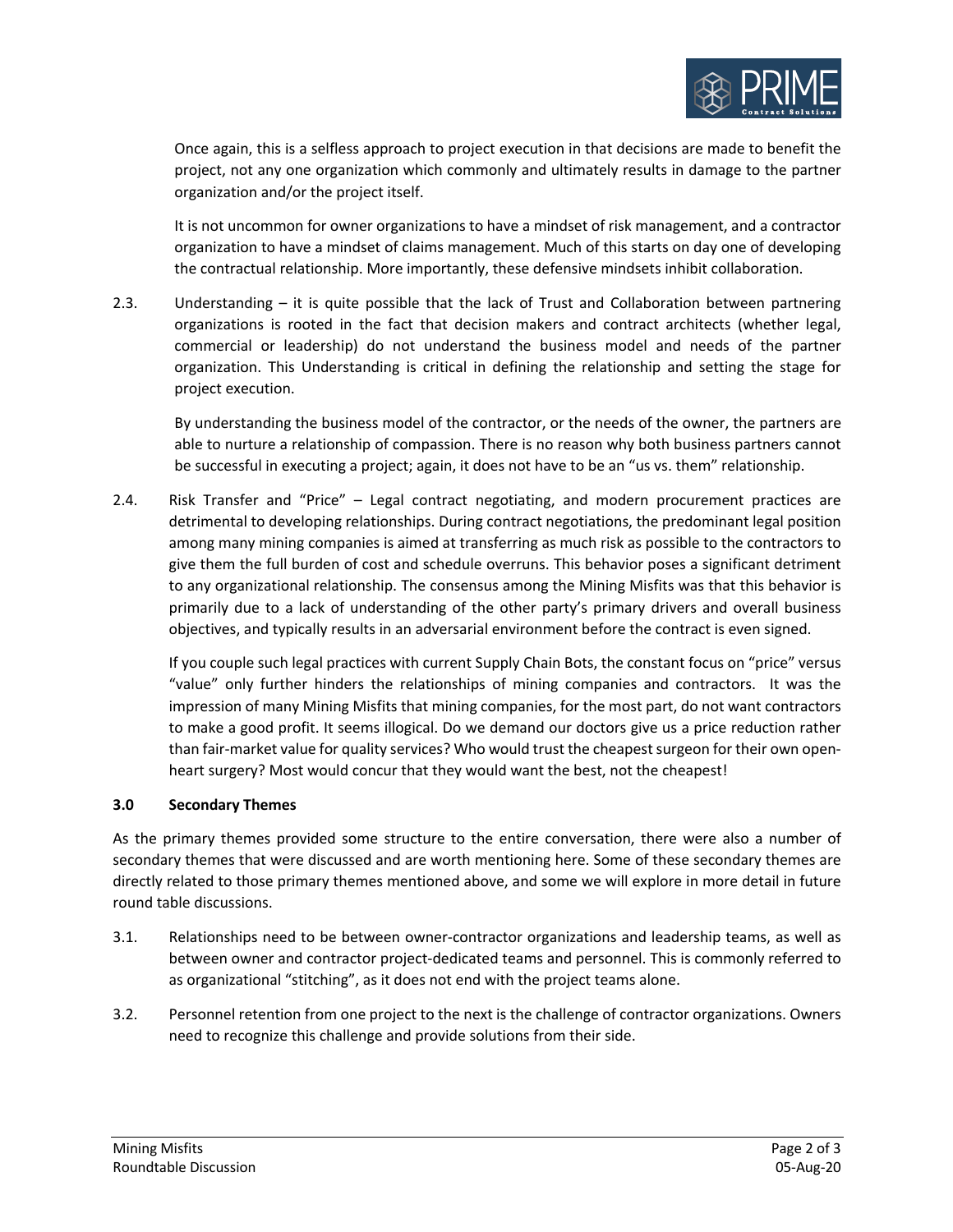

Once again, this is a selfless approach to project execution in that decisions are made to benefit the project, not any one organization which commonly and ultimately results in damage to the partner organization and/or the project itself.

It is not uncommon for owner organizations to have a mindset of risk management, and a contractor organization to have a mindset of claims management. Much of this starts on day one of developing the contractual relationship. More importantly, these defensive mindsets inhibit collaboration.

2.3. Understanding – it is quite possible that the lack of Trust and Collaboration between partnering organizations is rooted in the fact that decision makers and contract architects (whether legal, commercial or leadership) do not understand the business model and needs of the partner organization. This Understanding is critical in defining the relationship and setting the stage for project execution.

By understanding the business model of the contractor, or the needs of the owner, the partners are able to nurture a relationship of compassion. There is no reason why both business partners cannot be successful in executing a project; again, it does not have to be an "us vs. them" relationship.

2.4. Risk Transfer and "Price" – Legal contract negotiating, and modern procurement practices are detrimental to developing relationships. During contract negotiations, the predominant legal position among many mining companies is aimed at transferring as much risk as possible to the contractors to give them the full burden of cost and schedule overruns. This behavior poses a significant detriment to any organizational relationship. The consensus among the Mining Misfits was that this behavior is primarily due to a lack of understanding of the other party's primary drivers and overall business objectives, and typically results in an adversarial environment before the contract is even signed.

If you couple such legal practices with current Supply Chain Bots, the constant focus on "price" versus "value" only further hinders the relationships of mining companies and contractors. It was the impression of many Mining Misfits that mining companies, for the most part, do not want contractors to make a good profit. It seems illogical. Do we demand our doctors give us a price reduction rather than fair-market value for quality services? Who would trust the cheapest surgeon for their own openheart surgery? Most would concur that they would want the best, not the cheapest!

# **3.0 Secondary Themes**

As the primary themes provided some structure to the entire conversation, there were also a number of secondary themes that were discussed and are worth mentioning here. Some of these secondary themes are directly related to those primary themes mentioned above, and some we will explore in more detail in future round table discussions.

- 3.1. Relationships need to be between owner-contractor organizations and leadership teams, as well as between owner and contractor project-dedicated teams and personnel. This is commonly referred to as organizational "stitching", as it does not end with the project teams alone.
- 3.2. Personnel retention from one project to the next is the challenge of contractor organizations. Owners need to recognize this challenge and provide solutions from their side.